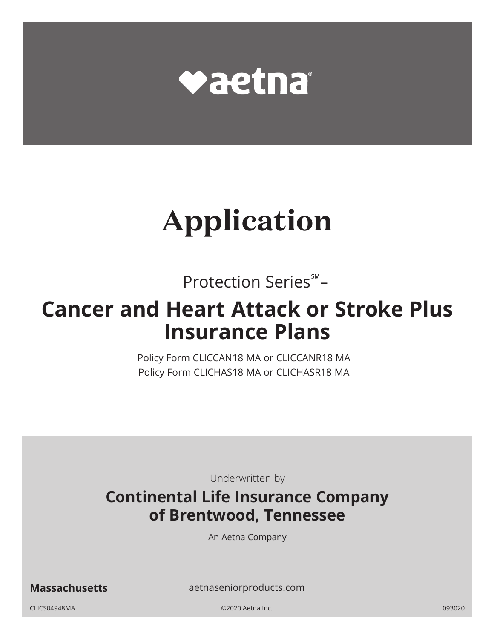

# **Application**

Protection Series℠–

# **Cancer and Heart Attack or Stroke Plus Insurance Plans**

Policy Form CLICCAN18 MA or CLICCANR18 MA Policy Form CLICHAS18 MA or CLICHASR18 MA

Underwritten by

# **Continental Life Insurance Company of Brentwood, Tennessee**

An Aetna Company

**Massachusetts** [aetnaseniorproducts.com](http://aetnaseniorproducts.com)

CLICS04948MA ©2020 Aetna Inc. 093020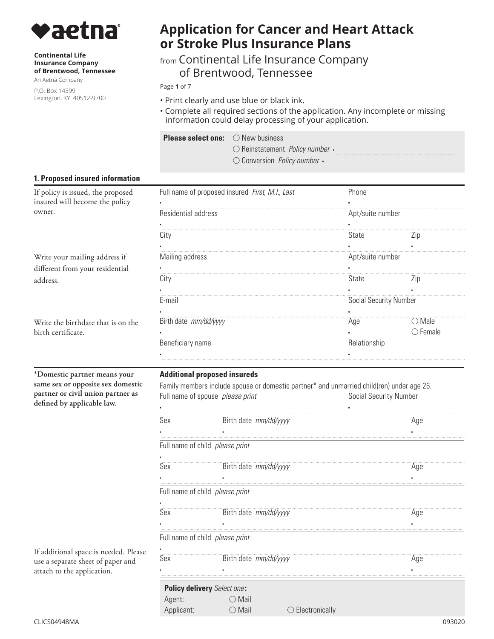

#### **Continental Life Insurance Company of Brentwood, Tennessee**

An Aetna Company

P.O. Box 14399 Lexington, KY 40512-9700

# **Application for Cancer and Heart Attack or Stroke Plus Insurance Plans**

## from Continental Life Insurance Company of Brentwood, Tennessee

Page **1** of 7

- Print clearly and use blue or black ink.
- Complete all required sections of the application. Any incomplete or missing information could delay processing of your application.

| <b>Please select one:</b> $\bigcirc$ New business |                                                             |
|---------------------------------------------------|-------------------------------------------------------------|
|                                                   | $\bigcirc$ Reinstatement <i>Policy number</i> $\cdot$       |
|                                                   | $\circlearrowright$ Conversion <i>Policy number</i> $\cdot$ |

#### **1. Proposed insured information**

| If policy is issued, the proposed  |                                                                                           | Full name of proposed insured First, M.I., Last | Phone                         |                   |
|------------------------------------|-------------------------------------------------------------------------------------------|-------------------------------------------------|-------------------------------|-------------------|
| insured will become the policy     |                                                                                           |                                                 |                               |                   |
| owner.                             | Residential address                                                                       |                                                 | Apt/suite number              |                   |
|                                    |                                                                                           |                                                 |                               |                   |
|                                    | City                                                                                      |                                                 | State                         | $\angle$ ip       |
|                                    |                                                                                           |                                                 |                               |                   |
| Write your mailing address if      | Mailing address                                                                           |                                                 | Apt/suite number              |                   |
| different from your residential    |                                                                                           |                                                 |                               |                   |
| address.                           | City                                                                                      |                                                 | State                         | $\angle$ ip       |
|                                    |                                                                                           |                                                 |                               |                   |
|                                    | E-mail                                                                                    |                                                 | Social Security Number        |                   |
|                                    |                                                                                           |                                                 |                               |                   |
| Write the birthdate that is on the | Birth date mm/dd/yyyy                                                                     |                                                 | Age                           | $\bigcirc$ Male   |
| birth certificate.                 |                                                                                           |                                                 |                               | $\bigcirc$ Female |
|                                    | Beneficiary name                                                                          |                                                 | Relationship                  |                   |
|                                    |                                                                                           |                                                 |                               |                   |
| *Domestic partner means your       |                                                                                           | <b>Additional proposed insureds</b>             |                               |                   |
| same sex or opposite sex domestic  | Family members include spouse or domestic partner* and unmarried child(ren) under age 26. |                                                 |                               |                   |
| partner or civil union partner as  |                                                                                           | Full name of spouse please print                | <b>Social Security Number</b> |                   |
| defined by applicable law.         |                                                                                           |                                                 |                               |                   |
|                                    | Sex                                                                                       | Birth date mm/dd/yyyy                           |                               | Age               |
|                                    |                                                                                           |                                                 |                               |                   |
|                                    |                                                                                           | Full name of child <i>please print</i>          |                               |                   |

If additional space is needed. Please use a separate sheet of paper and attach to the application.

▪

| Sex        | Birth date mm/dd/yyyy              |                |     |
|------------|------------------------------------|----------------|-----|
|            |                                    |                |     |
|            | Full name of child please print    |                |     |
|            |                                    |                |     |
| Sex        | Birth date mm/dd/yyyy              |                | Aae |
|            |                                    |                |     |
|            | Full name of child please print    |                |     |
|            |                                    |                |     |
| Sex        | Birth date mm/dd/yyyy              |                | Aae |
|            |                                    |                |     |
|            | <b>Policy delivery</b> Select one: |                |     |
| Agent:     | Mail                               |                |     |
| Applicant: | Mail                               | Electronically |     |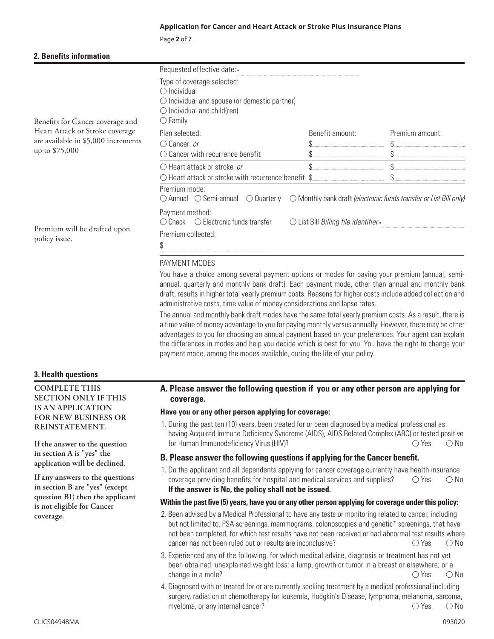#### **Application for Cancer and Heart Attack or Stroke Plus Insurance Plans**

Page **2** of 7

| 2. Benefits information |  |
|-------------------------|--|
|-------------------------|--|

|                                                                                                    | Requested effective date: -                                                                                                                                                                                                                                                                                                                                                                                                                                                                                                                                                                                                                                                                                                                                                                                 |                                       |                                                                             |
|----------------------------------------------------------------------------------------------------|-------------------------------------------------------------------------------------------------------------------------------------------------------------------------------------------------------------------------------------------------------------------------------------------------------------------------------------------------------------------------------------------------------------------------------------------------------------------------------------------------------------------------------------------------------------------------------------------------------------------------------------------------------------------------------------------------------------------------------------------------------------------------------------------------------------|---------------------------------------|-----------------------------------------------------------------------------|
| Benefits for Cancer coverage and                                                                   | Type of coverage selected:<br>$\bigcirc$ Individual<br>$\bigcirc$ Individual and spouse (or domestic partner)<br>$\bigcirc$ Individual and child(ren)<br>$\bigcirc$ Family                                                                                                                                                                                                                                                                                                                                                                                                                                                                                                                                                                                                                                  |                                       |                                                                             |
| Heart Attack or Stroke coverage                                                                    | Plan selected:                                                                                                                                                                                                                                                                                                                                                                                                                                                                                                                                                                                                                                                                                                                                                                                              | Benefit amount:                       | Premium amount:                                                             |
| are available in \$5,000 increments                                                                | $\bigcirc$ Cancer or                                                                                                                                                                                                                                                                                                                                                                                                                                                                                                                                                                                                                                                                                                                                                                                        |                                       |                                                                             |
| up to \$75,000                                                                                     | $\bigcirc$ Cancer with recurrence benefit                                                                                                                                                                                                                                                                                                                                                                                                                                                                                                                                                                                                                                                                                                                                                                   |                                       |                                                                             |
|                                                                                                    | $\bigcirc$ Heart attack or stroke or<br>$\bigcirc$ Heart attack or stroke with recurrence benefit \$                                                                                                                                                                                                                                                                                                                                                                                                                                                                                                                                                                                                                                                                                                        | \$                                    | \$                                                                          |
|                                                                                                    | Premium mode:<br>$\bigcirc$ Annual $\bigcirc$ Semi-annual $\bigcirc$ Quarterly                                                                                                                                                                                                                                                                                                                                                                                                                                                                                                                                                                                                                                                                                                                              |                                       | $\bigcirc$ Monthly bank draft (electronic funds transfer or List Bill only) |
| Premium will be drafted upon                                                                       | Payment method:<br>$\bigcirc$ Check $\bigcirc$ Electronic funds transfer                                                                                                                                                                                                                                                                                                                                                                                                                                                                                                                                                                                                                                                                                                                                    | ○ List Bill Billing file identifier • |                                                                             |
| policy issue.                                                                                      | Premium collected:<br>\$                                                                                                                                                                                                                                                                                                                                                                                                                                                                                                                                                                                                                                                                                                                                                                                    |                                       |                                                                             |
|                                                                                                    | annual, quarterly and monthly bank draft). Each payment mode, other than annual and monthly bank<br>draft, results in higher total yearly premium costs. Reasons for higher costs include added collection and<br>administrative costs, time value of money considerations and lapse rates.<br>The annual and monthly bank draft modes have the same total yearly premium costs. As a result, there is<br>a time value of money advantage to you for paying monthly versus annually. However, there may be other<br>advantages to you for choosing an annual payment based on your preferences. Your agent can explain<br>the differences in modes and help you decide which is best for you. You have the right to change your<br>payment mode, among the modes available, during the life of your policy. |                                       |                                                                             |
| 3. Health questions                                                                                |                                                                                                                                                                                                                                                                                                                                                                                                                                                                                                                                                                                                                                                                                                                                                                                                             |                                       |                                                                             |
| <b>COMPLETE THIS</b>                                                                               | A. Please answer the following question if you or any other person are applying for                                                                                                                                                                                                                                                                                                                                                                                                                                                                                                                                                                                                                                                                                                                         |                                       |                                                                             |
| <b>SECTION ONLY IF THIS</b><br>coverage.                                                           |                                                                                                                                                                                                                                                                                                                                                                                                                                                                                                                                                                                                                                                                                                                                                                                                             |                                       |                                                                             |
| <b>IS AN APPLICATION</b><br>FOR NEW BUSINESS OR                                                    | Have you or any other person applying for coverage:                                                                                                                                                                                                                                                                                                                                                                                                                                                                                                                                                                                                                                                                                                                                                         |                                       |                                                                             |
| REINSTATEMENT.<br>If the answer to the question                                                    | 1. During the past ten (10) years, been treated for or been diagnosed by a medical professional as<br>having Acquired Immune Deficiency Syndrome (AIDS), AIDS Related Complex (ARC) or tested positive<br>for Human Immunodeficiency Virus (HIV)?                                                                                                                                                                                                                                                                                                                                                                                                                                                                                                                                                           |                                       | $\bigcirc$ Yes<br>$\bigcirc$ No                                             |
| in section A is "yes" the                                                                          | B. Please answer the following questions if applying for the Cancer benefit.                                                                                                                                                                                                                                                                                                                                                                                                                                                                                                                                                                                                                                                                                                                                |                                       |                                                                             |
| application will be declined.<br>If any answers to the questions<br>in section B are "yes" (except | 1. Do the applicant and all dependents applying for cancer coverage currently have health insurance<br>coverage providing benefits for hospital and medical services and supplies?<br>$\bigcirc$ Yes<br>$\bigcirc$ No<br>If the answer is No, the policy shall not be issued.                                                                                                                                                                                                                                                                                                                                                                                                                                                                                                                               |                                       |                                                                             |
| question B1) then the applicant                                                                    | Within the past five (5) years, have you or any other person applying for coverage under this policy:                                                                                                                                                                                                                                                                                                                                                                                                                                                                                                                                                                                                                                                                                                       |                                       |                                                                             |
| is not eligible for Cancer<br>coverage.                                                            | 2. Been advised by a Medical Professional to have any tests or monitoring related to cancer, including<br>but not limited to, PSA screenings, mammograms, colonoscopies and genetic* screenings, that have<br>not been completed, for which test results have not been received or had abnormal test results where<br>cancer has not been ruled out or results are inconclusive?                                                                                                                                                                                                                                                                                                                                                                                                                            |                                       | $\bigcirc$ Yes<br>$\bigcirc$ No                                             |
|                                                                                                    | 3. Experienced any of the following, for which medical advice, diagnosis or treatment has not yet<br>been obtained: unexplained weight loss; a lump, growth or tumor in a breast or elsewhere; or a<br>change in a mole?                                                                                                                                                                                                                                                                                                                                                                                                                                                                                                                                                                                    |                                       | $\bigcirc$ Yes<br>$\bigcirc$ No                                             |
|                                                                                                    | A Diagnosed with or treated for or are currently seeking treatment by a medical professional including                                                                                                                                                                                                                                                                                                                                                                                                                                                                                                                                                                                                                                                                                                      |                                       |                                                                             |

 $\bigcirc$  Yes  $\bigcirc$  No 4. Diagnosed with or treated for or are currently seeking treatment by a medical professional including surgery, radiation or chemotherapy for leukemia, Hodgkin's Disease, lymphoma, melanoma, sarcoma, myeloma, or any internal cancer?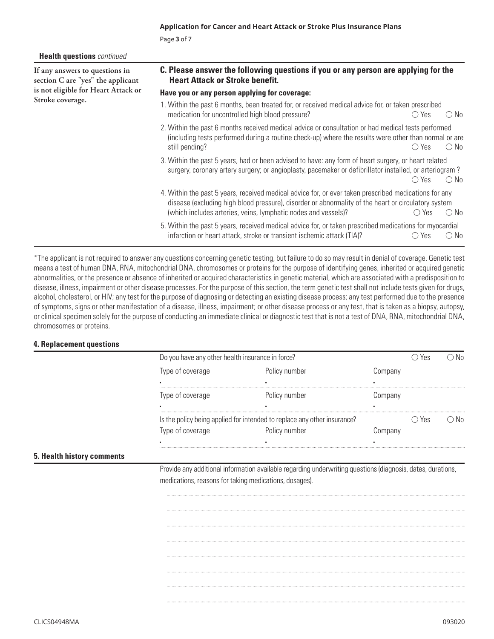**Health questions** *continued*

**If any answers to questions in section C are "yes" the applicant is not eligible for Heart Attack or Stroke coverage.**

#### **C. Please answer the following questions if you or any person are applying for the Heart Attack or Stroke benefit.**

#### **Have you or any person applying for coverage:**

- $\bigcirc$  Yes  $\bigcirc$  No 1. Within the past 6 months, been treated for, or received medical advice for, or taken prescribed medication for uncontrolled high blood pressure?
- $\bigcirc$  Yes  $\bigcirc$  No 2. Within the past 6 months received medical advice or consultation or had medical tests performed (including tests performed during a routine check-up) where the results were other than normal or are still pending?
- $\bigcirc$  Yes  $\bigcirc$ 3. Within the past 5 years, had or been advised to have: any form of heart surgery, or heart related surgery, coronary artery surgery; or angioplasty, pacemaker or defibrillator installed, or arteriogram ?  $\bigcirc$  Yes  $\bigcirc$  No
- $\bigcirc$  Yes  $\bigcirc$  No 4. Within the past 5 years, received medical advice for, or ever taken prescribed medications for any disease (excluding high blood pressure), disorder or abnormality of the heart or circulatory system (which includes arteries, veins, lymphatic nodes and vessels)?
- $\bigcirc$  Yes  $\bigcirc$  No 5. Within the past 5 years, received medical advice for, or taken prescribed medications for myocardial infarction or heart attack, stroke or transient ischemic attack (TIA)?

\*The applicant is not required to answer any questions concerning genetic testing, but failure to do so may result in denial of coverage. Genetic test means a test of human DNA, RNA, mitochondrial DNA, chromosomes or proteins for the purpose of identifying genes, inherited or acquired genetic abnormalities, or the presence or absence of inherited or acquired characteristics in genetic material, which are associated with a predisposition to disease, illness, impairment or other disease processes. For the purpose of this section, the term genetic test shall not include tests given for drugs, alcohol, cholesterol, or HIV; any test for the purpose of diagnosing or detecting an existing disease process; any test performed due to the presence of symptoms, signs or other manifestation of a disease, illness, impairment; or other disease process or any test, that is taken as a biopsy, autopsy, or clinical specimen solely for the purpose of conducting an immediate clinical or diagnostic test that is not a test of DNA, RNA, mitochondrial DNA, chromosomes or proteins.

#### **4. Replacement questions**

| Do you have any other health insurance in force?                         |               |         |     |  |
|--------------------------------------------------------------------------|---------------|---------|-----|--|
| Type of coverage                                                         | Policy number | omnany  |     |  |
|                                                                          |               |         |     |  |
| Type of coverage                                                         | Policy number | .ompany |     |  |
|                                                                          |               |         |     |  |
| Is the policy being applied for intended to replace any other insurance? |               |         | Yes |  |
| Type of coverage                                                         | Policy number |         |     |  |
|                                                                          |               |         |     |  |

#### **5. Health history comments**

Provide any additional information available regarding underwriting questions (diagnosis, dates, durations, medications, reasons for taking medications, dosages).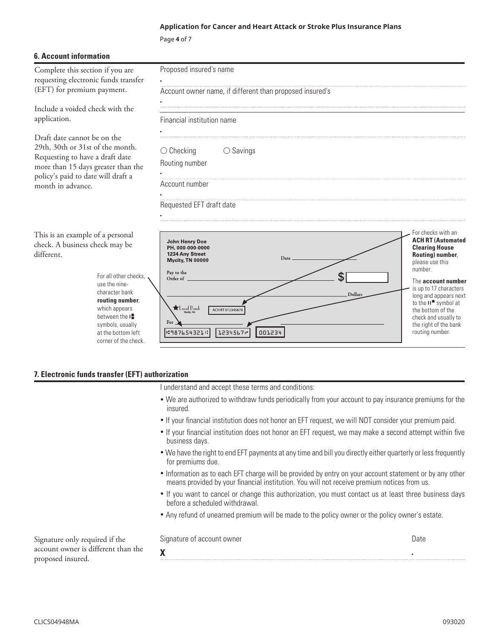#### **Application for Cancer and Heart Attack or Stroke Plus Insurance Plans**

Page **4** of 7

| <b>6. Account information</b>                                                                                                                                                                                                                                       |                                                                                                                                                                                                                     |                                                                                                                                                                                                                                                                                                                      |
|---------------------------------------------------------------------------------------------------------------------------------------------------------------------------------------------------------------------------------------------------------------------|---------------------------------------------------------------------------------------------------------------------------------------------------------------------------------------------------------------------|----------------------------------------------------------------------------------------------------------------------------------------------------------------------------------------------------------------------------------------------------------------------------------------------------------------------|
| Complete this section if you are<br>requesting electronic funds transfer<br>(EFT) for premium payment.                                                                                                                                                              | Proposed insured's name<br>Account owner name, if different than proposed insured's                                                                                                                                 |                                                                                                                                                                                                                                                                                                                      |
| Include a voided check with the<br>application.                                                                                                                                                                                                                     | Financial institution name                                                                                                                                                                                          |                                                                                                                                                                                                                                                                                                                      |
| Draft date cannot be on the<br>29th, 30th or 31st of the month.<br>Requesting to have a draft date<br>more than 15 days greater than the<br>policy's paid to date will draft a<br>month in advance.                                                                 | $\bigcirc$ Savings<br>$\bigcirc$ Checking<br>Routing number<br>Account number<br>Requested EFT draft date                                                                                                           |                                                                                                                                                                                                                                                                                                                      |
| This is an example of a personal<br>check. A business check may be<br>different.<br>For all other checks.<br>use the nine-<br>character bank<br>routing number,<br>which appears<br>between the I<br>symbols, usually<br>at the bottom left<br>corner of the check. | John Henry Doe<br>PH. 000-000-0000<br>1234 Any Street<br>Date<br>Mycity, TN 00000<br>Pay to the<br>Տ<br>Order of<br>Dollars<br>$\bigstar$ Local Bank<br>ACH RT 01234567<br>For<br> ∹987654321⊹<br>1234567<br>001234 | For checks with an<br><b>ACH RT (Automated</b><br><b>Clearing House</b><br>Routing) number,<br>please use this<br>number.<br>The account number<br>is up to 17 characters<br>long and appears next<br>to the $II$ symbol at<br>the bottom of the<br>check and usually to<br>the right of the bank<br>routing number. |

#### **7. Electronic funds transfer (EFT) authorization**

I understand and accept these terms and conditions:

- We are authorized to withdraw funds periodically from your account to pay insurance premiums for the insured.
- If your financial institution does not honor an EFT request, we will NOT consider your premium paid.
- If your financial institution does not honor an EFT request, we may make a second attempt within five business days.
- We have the right to end EFT payments at any time and bill you directly either quarterly or less frequently for premiums due.
- Information as to each EFT charge will be provided by entry on your account statement or by any other means provided by your financial institution. You will not receive premium notices from us.
- If you want to cancel or change this authorization, you must contact us at least three business days before a scheduled withdrawal.
- Any refund of unearned premium will be made to the policy owner or the policy owner's estate.

|        | Signature of account owner | Date |
|--------|----------------------------|------|
| ın the | $\mathbf{v}$               |      |

Signature only required if the account owner is different tha proposed insured.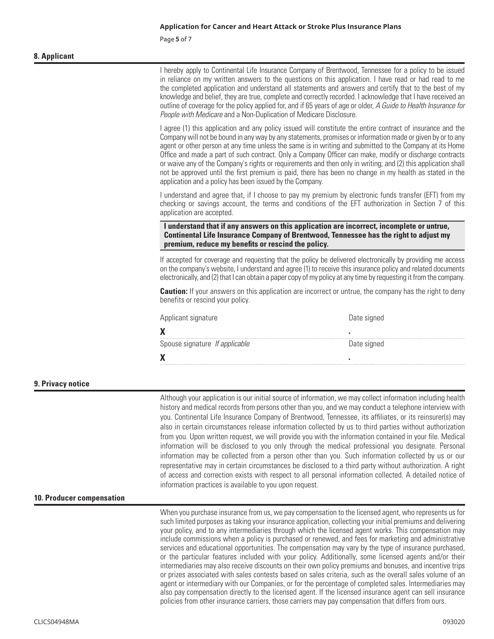Page **5** of 7

#### **8. Applicant**

|                           | I hereby apply to Continental Life Insurance Company of Brentwood, Tennessee for a policy to be issued<br>in reliance on my written answers to the questions on this application. I have read or had read to me<br>the completed application and understand all statements and answers and certify that to the best of my<br>knowledge and belief, they are true, complete and correctly recorded. I acknowledge that I have received an<br>outline of coverage for the policy applied for, and if 65 years of age or older, A Guide to Health Insurance for<br>People with Medicare and a Non-Duplication of Medicare Disclosure. |                                                                                                                                                                                                                                                                                                                                                                                                                                                                                                                                                                                                                                                                                                                                                                                                                                                                                                                                                                                                                                                                                                     |
|---------------------------|------------------------------------------------------------------------------------------------------------------------------------------------------------------------------------------------------------------------------------------------------------------------------------------------------------------------------------------------------------------------------------------------------------------------------------------------------------------------------------------------------------------------------------------------------------------------------------------------------------------------------------|-----------------------------------------------------------------------------------------------------------------------------------------------------------------------------------------------------------------------------------------------------------------------------------------------------------------------------------------------------------------------------------------------------------------------------------------------------------------------------------------------------------------------------------------------------------------------------------------------------------------------------------------------------------------------------------------------------------------------------------------------------------------------------------------------------------------------------------------------------------------------------------------------------------------------------------------------------------------------------------------------------------------------------------------------------------------------------------------------------|
|                           | application and a policy has been issued by the Company.                                                                                                                                                                                                                                                                                                                                                                                                                                                                                                                                                                           | I agree (1) this application and any policy issued will constitute the entire contract of insurance and the<br>Company will not be bound in any way by any statements, promises or information made or given by or to any<br>agent or other person at any time unless the same is in writing and submitted to the Company at its Home<br>Office and made a part of such contract. Only a Company Officer can make, modify or discharge contracts<br>or waive any of the Company's rights or requirements and then only in writing; and (2) this application shall<br>not be approved until the first premium is paid, there has been no change in my health as stated in the                                                                                                                                                                                                                                                                                                                                                                                                                        |
|                           | application are accepted.                                                                                                                                                                                                                                                                                                                                                                                                                                                                                                                                                                                                          | I understand and agree that, if I choose to pay my premium by electronic funds transfer (EFT) from my<br>checking or savings account, the terms and conditions of the EFT authorization in Section 7 of this                                                                                                                                                                                                                                                                                                                                                                                                                                                                                                                                                                                                                                                                                                                                                                                                                                                                                        |
|                           | premium, reduce my benefits or rescind the policy.                                                                                                                                                                                                                                                                                                                                                                                                                                                                                                                                                                                 | I understand that if any answers on this application are incorrect, incomplete or untrue,<br>Continental Life Insurance Company of Brentwood, Tennessee has the right to adjust my                                                                                                                                                                                                                                                                                                                                                                                                                                                                                                                                                                                                                                                                                                                                                                                                                                                                                                                  |
|                           |                                                                                                                                                                                                                                                                                                                                                                                                                                                                                                                                                                                                                                    | If accepted for coverage and requesting that the policy be delivered electronically by providing me access<br>on the company's website, I understand and agree (1) to receive this insurance policy and related documents<br>electronically, and (2) that I can obtain a paper copy of my policy at any time by requesting it from the company.                                                                                                                                                                                                                                                                                                                                                                                                                                                                                                                                                                                                                                                                                                                                                     |
|                           | benefits or rescind your policy.                                                                                                                                                                                                                                                                                                                                                                                                                                                                                                                                                                                                   | <b>Caution:</b> If your answers on this application are incorrect or untrue, the company has the right to deny                                                                                                                                                                                                                                                                                                                                                                                                                                                                                                                                                                                                                                                                                                                                                                                                                                                                                                                                                                                      |
|                           | Applicant signature                                                                                                                                                                                                                                                                                                                                                                                                                                                                                                                                                                                                                | Date signed                                                                                                                                                                                                                                                                                                                                                                                                                                                                                                                                                                                                                                                                                                                                                                                                                                                                                                                                                                                                                                                                                         |
|                           | X                                                                                                                                                                                                                                                                                                                                                                                                                                                                                                                                                                                                                                  |                                                                                                                                                                                                                                                                                                                                                                                                                                                                                                                                                                                                                                                                                                                                                                                                                                                                                                                                                                                                                                                                                                     |
|                           | Spouse signature If applicable                                                                                                                                                                                                                                                                                                                                                                                                                                                                                                                                                                                                     | Date signed                                                                                                                                                                                                                                                                                                                                                                                                                                                                                                                                                                                                                                                                                                                                                                                                                                                                                                                                                                                                                                                                                         |
|                           | X                                                                                                                                                                                                                                                                                                                                                                                                                                                                                                                                                                                                                                  |                                                                                                                                                                                                                                                                                                                                                                                                                                                                                                                                                                                                                                                                                                                                                                                                                                                                                                                                                                                                                                                                                                     |
| 9. Privacy notice         |                                                                                                                                                                                                                                                                                                                                                                                                                                                                                                                                                                                                                                    |                                                                                                                                                                                                                                                                                                                                                                                                                                                                                                                                                                                                                                                                                                                                                                                                                                                                                                                                                                                                                                                                                                     |
|                           | information practices is available to you upon request.                                                                                                                                                                                                                                                                                                                                                                                                                                                                                                                                                                            | Although your application is our initial source of information, we may collect information including health<br>history and medical records from persons other than you, and we may conduct a telephone interview with<br>you. Continental Life Insurance Company of Brentwood, Tennessee, its affiliates, or its reinsurer(s) may<br>also in certain circumstances release information collected by us to third parties without authorization<br>from you. Upon written request, we will provide you with the information contained in your file. Medical<br>information will be disclosed to you only through the medical professional you designate. Personal<br>information may be collected from a person other than you. Such information collected by us or our<br>representative may in certain circumstances be disclosed to a third party without authorization. A right<br>of access and correction exists with respect to all personal information collected. A detailed notice of                                                                                                       |
| 10. Producer compensation |                                                                                                                                                                                                                                                                                                                                                                                                                                                                                                                                                                                                                                    |                                                                                                                                                                                                                                                                                                                                                                                                                                                                                                                                                                                                                                                                                                                                                                                                                                                                                                                                                                                                                                                                                                     |
|                           |                                                                                                                                                                                                                                                                                                                                                                                                                                                                                                                                                                                                                                    | When you purchase insurance from us, we pay compensation to the licensed agent, who represents us for<br>such limited purposes as taking your insurance application, collecting your initial premiums and delivering<br>your policy, and to any intermediaries through which the licensed agent works. This compensation may<br>include commissions when a policy is purchased or renewed, and fees for marketing and administrative<br>services and educational opportunities. The compensation may vary by the type of insurance purchased,<br>or the particular features included with your policy. Additionally, some licensed agents and/or their<br>intermediaries may also receive discounts on their own policy premiums and bonuses, and incentive trips<br>or prizes associated with sales contests based on sales criteria, such as the overall sales volume of an<br>agent or intermediary with our Companies, or for the percentage of completed sales. Intermediaries may<br>also pay compensation directly to the licensed agent. If the licensed insurance agent can sell insurance |

policies from other insurance carriers, those carriers may pay compensation that differs from ours.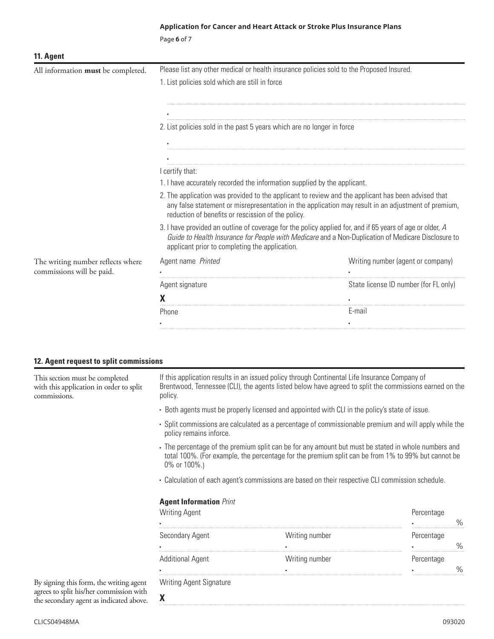#### **Application for Cancer and Heart Attack or Stroke Plus Insurance Plans**

Page **6** of 7

| 11. Agent                          |                                                                                          |                                                                                                                                                                                                                |  |  |
|------------------------------------|------------------------------------------------------------------------------------------|----------------------------------------------------------------------------------------------------------------------------------------------------------------------------------------------------------------|--|--|
| All information must be completed. | Please list any other medical or health insurance policies sold to the Proposed Insured. |                                                                                                                                                                                                                |  |  |
|                                    | 1. List policies sold which are still in force                                           |                                                                                                                                                                                                                |  |  |
|                                    |                                                                                          |                                                                                                                                                                                                                |  |  |
|                                    | 2. List policies sold in the past 5 years which are no longer in force                   |                                                                                                                                                                                                                |  |  |
|                                    |                                                                                          |                                                                                                                                                                                                                |  |  |
|                                    |                                                                                          |                                                                                                                                                                                                                |  |  |
|                                    | I certify that:                                                                          |                                                                                                                                                                                                                |  |  |
|                                    | 1. I have accurately recorded the information supplied by the applicant.                 |                                                                                                                                                                                                                |  |  |
|                                    | reduction of benefits or rescission of the policy.                                       | 2. The application was provided to the applicant to review and the applicant has been advised that<br>any false statement or misrepresentation in the application may result in an adjustment of premium,      |  |  |
|                                    | applicant prior to completing the application.                                           | 3. I have provided an outline of coverage for the policy applied for, and if 65 years of age or older, A<br>Guide to Health Insurance for People with Medicare and a Non-Duplication of Medicare Disclosure to |  |  |
| The writing number reflects where  | Agent name Printed                                                                       | Writing number (agent or company)                                                                                                                                                                              |  |  |
| commissions will be paid.          |                                                                                          |                                                                                                                                                                                                                |  |  |
|                                    | Agent signature                                                                          | State license ID number (for FL only)                                                                                                                                                                          |  |  |
|                                    |                                                                                          |                                                                                                                                                                                                                |  |  |
|                                    | Phone                                                                                    | E-mail                                                                                                                                                                                                         |  |  |
|                                    |                                                                                          |                                                                                                                                                                                                                |  |  |

#### **12. Agent request to split commissions**

This section must be completed with this application in order to split commissions.

If this application results in an issued policy through Continental Life Insurance Company of Brentwood, Tennessee (CLI), the agents listed below have agreed to split the commissions earned on the policy.

- Both agents must be properly licensed and appointed with CLI in the policy's state of issue.
- Split commissions are calculated as a percentage of commissionable premium and will apply while the policy remains inforce.
- . The percentage of the premium split can be for any amount but must be stated in whole numbers and total 100%. (For example, the percentage for the premium split can be from 1% to 99% but cannot be 0% or 100%.)
- Calculation of each agent's commissions are based on their respective CLI commission schedule.

#### **Agent Information** *Print*

**X**

| <b>Writing Agent</b>    |                | Percentage |   |
|-------------------------|----------------|------------|---|
|                         |                |            |   |
| Secondary Agent         | Writing number | Percentage | ℆ |
| <b>Additional Agent</b> | Writing number | Percentage |   |
|                         |                |            |   |
| Writing Agent Signature |                |            |   |

By signing this form, the writing agent agrees to split his/her commission with the secondary agent as indicated above.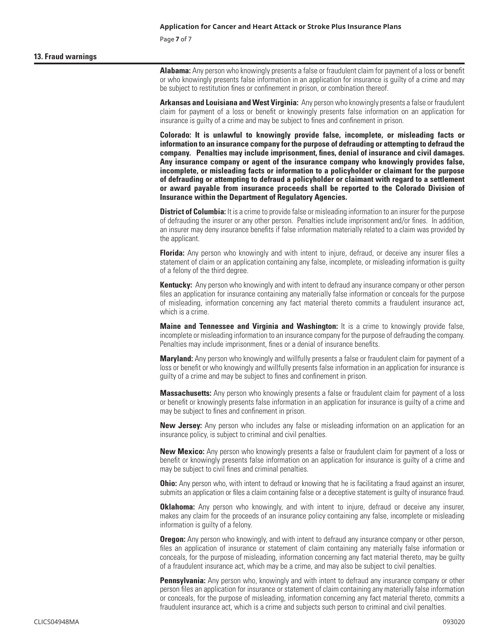Page **7** of 7

#### **13. Fraud warnings**

**Alabama:** Any person who knowingly presents a false or fraudulent claim for payment of a loss or benefit or who knowingly presents false information in an application for insurance is guilty of a crime and may be subject to restitution fines or confinement in prison, or combination thereof.

**Arkansas and Louisiana and West Virginia:** Any person who knowingly presents a false or fraudulent claim for payment of a loss or benefit or knowingly presents false information on an application for insurance is guilty of a crime and may be subject to fines and confinement in prison.

**Colorado: It is unlawful to knowingly provide false, incomplete, or misleading facts or information to an insurance company for the purpose of defrauding or attempting to defraud the company. Penalties may include imprisonment, fines, denial of insurance and civil damages. Any insurance company or agent of the insurance company who knowingly provides false, incomplete, or misleading facts or information to a policyholder or claimant for the purpose of defrauding or attempting to defraud a policyholder or claimant with regard to a settlement or award payable from insurance proceeds shall be reported to the Colorado Division of Insurance within the Department of Regulatory Agencies.**

**District of Columbia:** It is a crime to provide false or misleading information to an insurer for the purpose of defrauding the insurer or any other person. Penalties include imprisonment and/or fines. In addition, an insurer may deny insurance benefits if false information materially related to a claim was provided by the applicant.

**Florida:** Any person who knowingly and with intent to injure, defraud, or deceive any insurer files a statement of claim or an application containing any false, incomplete, or misleading information is guilty of a felony of the third degree.

**Kentucky:** Any person who knowingly and with intent to defraud any insurance company or other person files an application for insurance containing any materially false information or conceals for the purpose of misleading, information concerning any fact material thereto commits a fraudulent insurance act, which is a crime.

**Maine and Tennessee and Virginia and Washington:** It is a crime to knowingly provide false, incomplete or misleading information to an insurance company for the purpose of defrauding the company. Penalties may include imprisonment, fines or a denial of insurance benefits.

**Maryland:** Any person who knowingly and willfully presents a false or fraudulent claim for payment of a loss or benefit or who knowingly and willfully presents false information in an application for insurance is guilty of a crime and may be subject to fines and confinement in prison.

**Massachusetts:** Any person who knowingly presents a false or fraudulent claim for payment of a loss or benefit or knowingly presents false information in an application for insurance is guilty of a crime and may be subject to fines and confinement in prison.

**New Jersey:** Any person who includes any false or misleading information on an application for an insurance policy, is subject to criminal and civil penalties.

**New Mexico:** Any person who knowingly presents a false or fraudulent claim for payment of a loss or benefit or knowingly presents false information on an application for insurance is guilty of a crime and may be subject to civil fines and criminal penalties.

**Ohio:** Any person who, with intent to defraud or knowing that he is facilitating a fraud against an insurer, submits an application or files a claim containing false or a deceptive statement is guilty of insurance fraud.

**Oklahoma:** Any person who knowingly, and with intent to injure, defraud or deceive any insurer, makes any claim for the proceeds of an insurance policy containing any false, incomplete or misleading information is guilty of a felony.

**Oregon:** Any person who knowingly, and with intent to defraud any insurance company or other person, files an application of insurance or statement of claim containing any materially false information or conceals, for the purpose of misleading, information concerning any fact material thereto, may be guilty of a fraudulent insurance act, which may be a crime, and may also be subject to civil penalties.

**Pennsylvania:** Any person who, knowingly and with intent to defraud any insurance company or other person files an application for insurance or statement of claim containing any materially false information or conceals, for the purpose of misleading, information concerning any fact material thereto, commits a fraudulent insurance act, which is a crime and subjects such person to criminal and civil penalties.